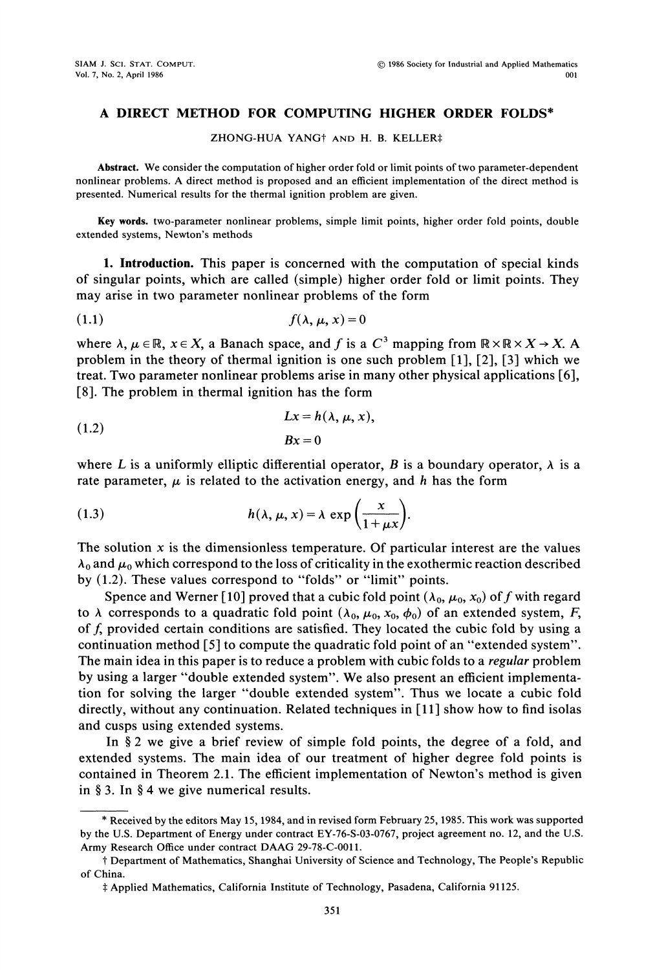## A DIRECT METHOD FOR COMPUTING HIGHER ORDER FOLDS\*

ZHONG-HUA YANG<sup>+</sup> AND H. B. KELLER‡

Abstract. We consider the computation of higher order fold or limit points of two parameter-dependent nonlinear problems. A direct method is proposed and an efficient implementation of the direct method is presented. Numerical results for the thermal ignition problem are given.

Key words, two-parameter nonlinear problems, simple limit points, higher order fold points, double extended systems, Newton's methods

1. Introduction. This paper is concerned with the computation of special kinds of singular points, which are called (simple) higher order fold or limit points. They may arise in two parameter nonlinear problems of the form

$$
(1.1) \t\t f(\lambda, \mu, x) = 0
$$

where  $\lambda, \mu \in \mathbb{R}, x \in X$ , a Banach space, and f is a  $C^3$  mapping from  $\mathbb{R} \times \mathbb{R} \times X \rightarrow X$ . A problem in the theory of thermal ignition is one such problem [1], [2], [3] which we treat. Two parameter nonlinear problems arise in many other physical applications [6], [8]. The problem in thermal ignition has the form

(1.2) 
$$
Lx = h(\lambda, \mu, x),
$$

$$
Bx = 0
$$

where L is a uniformly elliptic differential operator, B is a boundary operator,  $\lambda$  is a rate parameter,  $\mu$  is related to the activation energy, and h has the form

(1.3) 
$$
h(\lambda, \mu, x) = \lambda \exp\left(\frac{x}{1 + \mu x}\right).
$$

The solution  $x$  is the dimensionless temperature. Of particular interest are the values  $\lambda_0$  and  $\mu_0$  which correspond to the loss of criticality in the exothermic reaction described by (1.2). These values correspond to "folds" or "limit" points.

Spence and Werner [10] proved that a cubic fold point  $(\lambda_0, \mu_0, x_0)$  of f with regard to  $\lambda$  corresponds to a quadratic fold point  $(\lambda_0, \mu_0, x_0, \phi_0)$  of an extended system, F, of f, provided certain conditions are satisfied. They located the cubic fold by using a continuation method [5] to compute the quadratic fold point of an "extended system". The main idea in this paper is to reduce a problem with cubic folds to a *regular* problem by using <sup>a</sup> larger "double extended system". We also present an efficient implementation for solving the larger "double extended system". Thus we locate a cubic fold directly, without any continuation. Related techniques in  $[11]$  show how to find isolas and cusps using extended systems.

In  $\S 2$  we give a brief review of simple fold points, the degree of a fold, and extended systems. The main idea of our treatment of higher degree fold points is contained in Theorem 2.1. The efficient implementation of Newton's method is given in  $§$  3. In  $§$  4 we give numerical results.

<sup>\*</sup> Received by the editors May 15, 1984, and in revised form February 25, 1985. This work was supported by the U.S. Department of Energy under contract EY-76-S-03-0767, project agreement no. 12, and the U.S. Army Research Office under contract DAAG 29-78-C-0011.

of China. Department of Mathematics, Shanghai University of Science and Technology, The People's Republic

Applied Mathematics, California Institute of Technology, Pasadena, California 91125.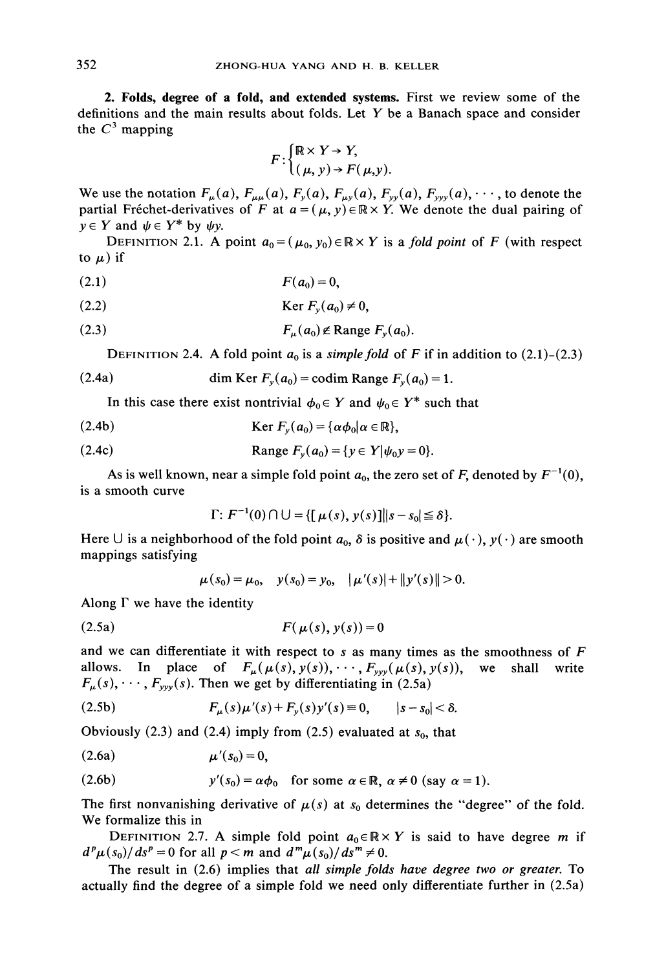2. Folds, degree of a fold, and extended systems. First we review some of the definitions and the main results about folds. Let  $Y$  be a Banach space and consider the  $C^3$  mapping

$$
F: \begin{cases} \mathbb{R} \times Y \to Y, \\ (\mu, y) \to F(\mu, y). \end{cases}
$$

We use the notation  $F_{\mu}(a)$ ,  $F_{\mu\mu}(a)$ ,  $F_{y}(a)$ ,  $F_{\mu y}(a)$ ,  $F_{yy}(a)$ ,  $\cdots$ , to denote the partial Fréchet-derivatives of F at  $a = (\mu, y) \in \mathbb{R} \times Y$ . We denote the dual pairing of  $y \in Y$  and  $\psi \in Y^*$  by  $\psi y$ .

DEFINITION 2.1. A point  $a_0 = (\mu_0, y_0) \in \mathbb{R} \times Y$  is a fold point of F (with respect to  $\mu$ ) if

$$
(2.1) \t\t\t F(a0)=0,
$$

$$
(2.2) \t\t\t \text{Ker } F_y(a_0) \neq 0,
$$

$$
(2.3) \t\t\t F_{\mu}(a_0) \notin \text{Range } F_{\nu}(a_0).
$$

 $F_{\mu}(a_0) \notin \text{Range } F_{y}(a_0).$ <br>DEFINITION 2.4. A fold point  $a_0$  is a simple fold of F if in addition to (2.1)-(2.3)

(2.4a) dim Ker 
$$
F_y(a_0)
$$
 = codim Range  $F_y(a_0)$  = 1.

In this case there exist nontrivial  $\phi_0 \in Y$  and  $\psi_0 \in Y^*$  such that

(2.4b) 
$$
\operatorname{Ker} F_y(a_0) = \{ \alpha \phi_0 | \alpha \in \mathbb{R} \},
$$

(2.4c) Range 
$$
F_y(a_0) = \{y \in Y | \psi_0 y = 0\}.
$$

As is well known, near a simple fold point  $a_0$ , the zero set of F, denoted by  $F^{-1}(0)$ , is a smooth curve

$$
\Gamma: F^{-1}(0) \cap \bigcup = \{ [\mu(s), y(s)] \big| |s - s_0| \leq \delta \}.
$$

Here U is a neighborhood of the fold point  $a_0$ ,  $\delta$  is positive and  $\mu(\cdot)$ ,  $y(\cdot)$  are smooth mappings satisfying

$$
\mu(s_0) = \mu_0, \quad y(s_0) = y_0, \quad |\mu'(s)| + ||y'(s)|| > 0.
$$

Along  $\Gamma$  we have the identity

$$
(2.5a) \tF(\mu(s), y(s)) = 0
$$

and we can differentiate it with respect to s as many times as the smoothness of  $F$ allows. In place of  $F_{\mu}(\mu(s),y(s)), \cdots, F_{yy}(\mu(s),y(s)),$  we shall write  $F_{\mu}(s), \cdots, F_{\nu\nu}(s)$ . Then we get by differentiating in (2.5a)

(2.5b) 
$$
F_{\mu}(s)\mu'(s) + F_{y}(s)y'(s) \equiv 0, \qquad |s - s_0| < \delta.
$$

Obviously (2.3) and (2.4) imply from (2.5) evaluated at  $s_0$ , that

$$
(2.6a) \qquad \qquad \mu'(s_0)=0,
$$

(2.6b) 
$$
y'(s_0) = \alpha \phi_0
$$
 for some  $\alpha \in \mathbb{R}$ ,  $\alpha \neq 0$  (say  $\alpha = 1$ ).

The first nonvanishing derivative of  $\mu(s)$  at  $s_0$  determines the "degree" of the fold. We formalize this in

DEFINITION 2.7. A simple fold point  $a_0 \in \mathbb{R} \times Y$  is said to have degree m if  $d^p\mu(s_0)/ds^p = 0$  for all  $p < m$  and  $d^m\mu(s_0)/ds^m \neq 0$ .

The result in (2.6) implies that all simple folds have degree two or greater. To actually find the degree of a simple fold we need only differentiate further in (2.5a)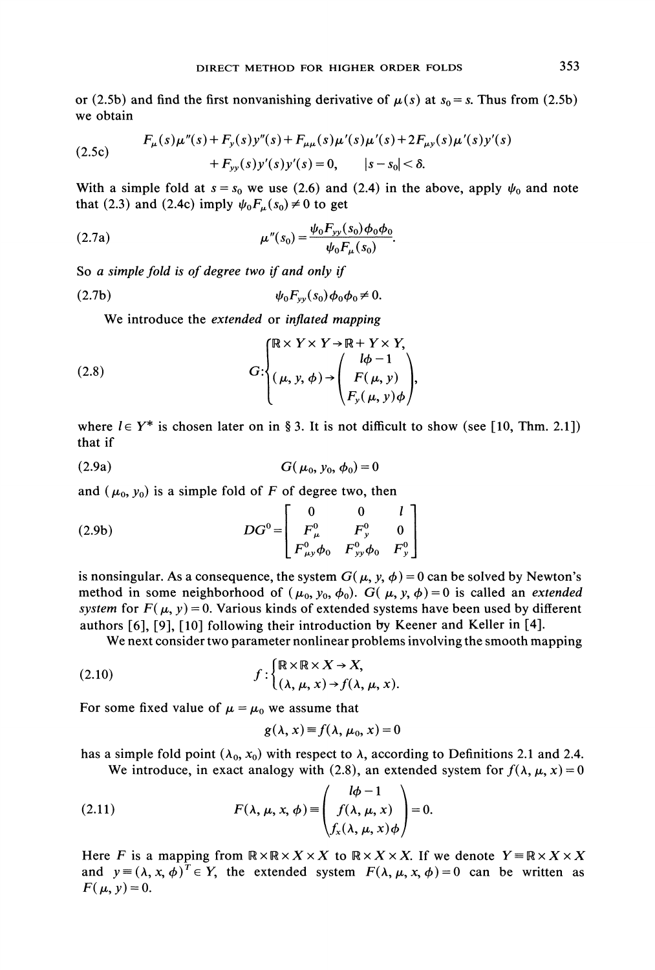or (2.5b) and find the first nonvanishing derivative of  $\mu(s)$  at  $s_0 = s$ . Thus from (2.5b) we obtain

(2.5c) 
$$
F_{\mu}(s)\mu''(s) + F_{y}(s)y''(s) + F_{\mu\mu}(s)\mu'(s)\mu'(s) + 2F_{\mu y}(s)\mu'(s)y'(s) + F_{yy}(s)y'(s)y'(s) = 0, \qquad |s - s_0| < \delta.
$$

With a simple fold at  $s = s_0$  we use (2.6) and (2.4) in the above, apply  $\psi_0$  and note that (2.3) and (2.4c) imply  $\psi_0F_{\mu}(s_0)\neq 0$  to get

(2.7a) 
$$
\mu''(s_0) = \frac{\psi_0 F_{yy}(s_0) \phi_0 \phi_0}{\psi_0 F_{\mu}(s_0)}.
$$

So a simple fold is of degree two if and only if

$$
\psi_0 F_{yy}(s_0) \phi_0 \phi_0 \neq 0.
$$

We introduce the extended or inflated mapping

(2.8) 
$$
G: \begin{cases} \mathbb{R} \times Y \times Y \to \mathbb{R} + Y \times Y, \\ (\mu, y, \phi) \to \begin{pmatrix} l\phi - 1 \\ F(\mu, y) \\ F_y(\mu, y) \phi \end{pmatrix}, \end{cases}
$$

where  $l \in Y^*$  is chosen later on in § 3. It is not difficult to show (see [10, Thm. 2.1]) that if

(2.9a) 
$$
G(\mu_0, y_0, \phi_0) = 0
$$

and  $(\mu_0, y_0)$  is a simple fold of F of degree two, then

(2.9b) 
$$
DG^{0} = \begin{bmatrix} 0 & 0 & l \\ F_{\mu}^{0} & F_{y}^{0} & 0 \\ F_{\mu y}^{0} \phi_{0} & F_{yy}^{0} \phi_{0} & F_{y}^{0} \end{bmatrix}
$$

is nonsingular. As a consequence, the system  $G(\mu, y, \phi) = 0$  can be solved by Newton's method in some neighborhood of  $(\mu_0, y_0, \phi_0)$ .  $G(\mu, y, \phi)=0$  is called an extended system for  $F(\mu, y) = 0$ . Various kinds of extended systems have been used by different authors [6], [9], [10] following their introduction by Keener and Keller in [4].

We next consider two parameter nonlinear problems involving the smooth mapping

(2.10) 
$$
f: \begin{cases} \mathbb{R} \times \mathbb{R} \times X \to X, \\ (\lambda, \mu, x) \to f(\lambda, \mu, x). \end{cases}
$$

For some fixed value of  $\mu = \mu_0$  we assume that

$$
g(\lambda, x) \equiv f(\lambda, \mu_0, x) = 0
$$

has a simple fold point  $(\lambda_0, x_0)$  with respect to  $\lambda$ , according to Definitions 2.1 and 2.4. We introduce, in exact analogy with (2.8), an extended system for  $f(\lambda, \mu, x)=0$ 

(2.11) 
$$
F(\lambda, \mu, x, \phi) \equiv \begin{pmatrix} l\phi - 1 \\ f(\lambda, \mu, x) \\ f_x(\lambda, \mu, x) \phi \end{pmatrix} = 0.
$$

Here F is a mapping from  $\mathbb{R} \times \mathbb{R} \times X \times X$  to  $\mathbb{R} \times X \times X$ . If we denote  $Y = \mathbb{R} \times X \times X$ and  $y = (\lambda, x, \phi)^T \in Y$ , the extended system  $F(\lambda, \mu, x, \phi) = 0$  can be written as  $F(\mu, y) = 0.$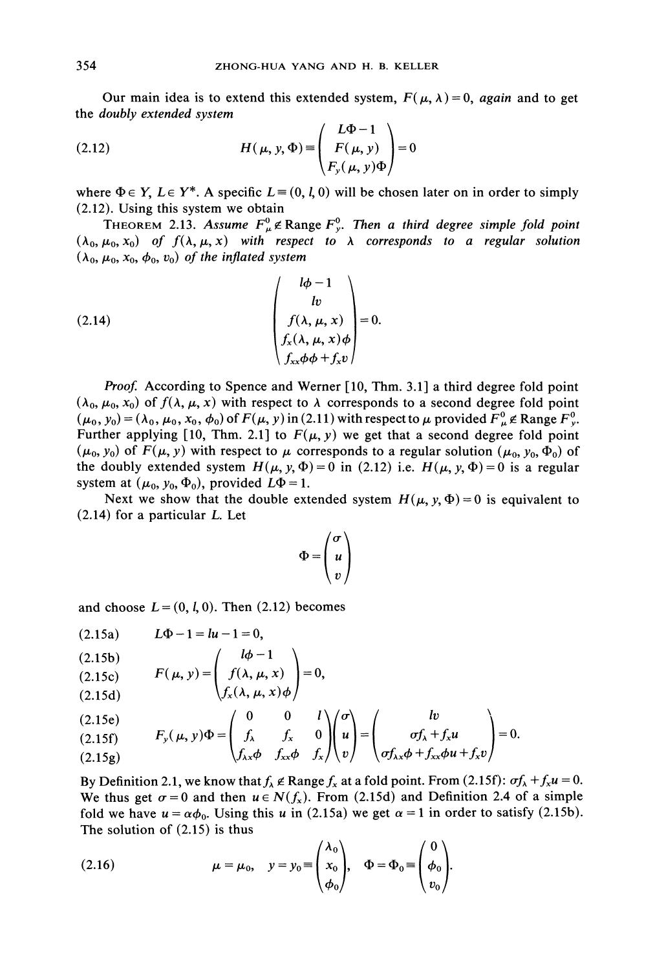Our main idea is to extend this extended system,  $F(\mu, \lambda) = 0$ , again and to get the doubly extended system

(2.12) 
$$
H(\mu, y, \Phi) \equiv \begin{pmatrix} L\Phi - 1 \\ F(\mu, y) \\ F_y(\mu, y) \Phi \end{pmatrix} = 0
$$

where  $\Phi \in Y$ ,  $L \in Y^*$ . A specific  $L \equiv (0, l, 0)$  will be chosen later on in order to simply (2.12). Using this system we obtain

THEOREM 2.13. Assume  $F^0_\mu$   $\notin$  Range  $F^0_\nu$ . Then a third degree simple fold point  $(\lambda_0,\mu_0,x_0)$  of  $f(\lambda,\mu,x)$  with respect to  $\lambda$  corresponds to a regular solution  $(\lambda_0, \mu_0, x_0, \phi_0, v_0)$  of the inflated system

(2.14) 
$$
\begin{pmatrix} l\phi - 1 \\ hv \\ f(\lambda, \mu, x) \\ f_x(\lambda, \mu, x)\phi \\ f_{xx}\phi\phi + f_xv \end{pmatrix} = 0.
$$

Proof. According to Spence and Werner [10, Thm. 3.1] a third degree fold point  $(\lambda_0, \mu_0, x_0)$  of  $f(\lambda, \mu, x)$  with respect to  $\lambda$  corresponds to a second degree fold point  $(\mu_0, y_0) = (\lambda_0, \mu_0, x_0, \phi_0)$  of  $F(\mu, y)$  in (2.11) with respect to  $\mu$  provided  $F_u^0 \notin \text{Range } F_v^0$ . Further applying [10, Thm. 2.1] to  $F(\mu, y)$  we get that a second degree fold point  $(\mu_0, y_0)$  of  $F(\mu, y)$  with respect to  $\mu$  corresponds to a regular solution  $(\mu_0, y_0, \Phi_0)$  of the doubly extended system  $H(\mu, y, \Phi) = 0$  in (2.12) i.e.  $H(\mu, y, \Phi) = 0$  is a regular system at  $(\mu_0, y_0, \Phi_0)$ , provided  $L\Phi = 1$ .

Next we show that the double extended system  $H(\mu, y, \Phi) = 0$  is equivalent to (2.14) for a particular L. Let

$$
\Phi = \begin{pmatrix} \sigma \\ u \\ v \end{pmatrix}
$$

and choose  $L = (0, l, 0)$ . Then (2.12) becomes

$$
(2.15a) \tL\Phi - 1 = lu - 1 = 0,
$$

$$
(2.15b) \t\t l\phi-1
$$

(2.15c) 
$$
F(\mu, y) = \begin{cases} f(\lambda, \mu, x) \\ f_x(\lambda, \mu, x) \phi \end{cases} = 0,
$$

(2.15d) 
$$
\left\langle f_x(\lambda, \mu, x) \phi \right\rangle
$$

(2.15e)  
\n(2.15f) 
$$
F_y(\mu, y)\Phi = \begin{pmatrix} 0 & 0 & l \\ f_{\lambda} & f_x & 0 \\ f_{\lambda x} \phi & f_{xx} \phi & f_x \end{pmatrix} \begin{pmatrix} \sigma \\ u \\ v \end{pmatrix} = \begin{pmatrix} lw \\ \sigma f_{\lambda} + f_x u \\ \sigma f_{\lambda x} \phi + f_{xx} \phi u + f_x v \end{pmatrix} = 0.
$$

By Definition 2.1, we know that  $f_{\lambda} \notin \text{Range } f_x$  at a fold point. From (2.15f):  $\sigma f_{\lambda} + f_x u = 0$ . We thus get  $\sigma=0$  and then  $u \in N(f_x)$ . From (2.15d) and Definition 2.4 of a simple fold we have  $u = \alpha \phi_0$ . Using this u in (2.15a) we get  $\alpha = 1$  in order to satisfy (2.15b). The solution of (2.15) is thus

(2.16) 
$$
\mu = \mu_0, \quad y = y_0 \equiv \begin{pmatrix} \lambda_0 \\ x_0 \\ \phi_0 \end{pmatrix}, \quad \Phi = \Phi_0 \equiv \begin{pmatrix} 0 \\ \phi_0 \\ v_0 \end{pmatrix}.
$$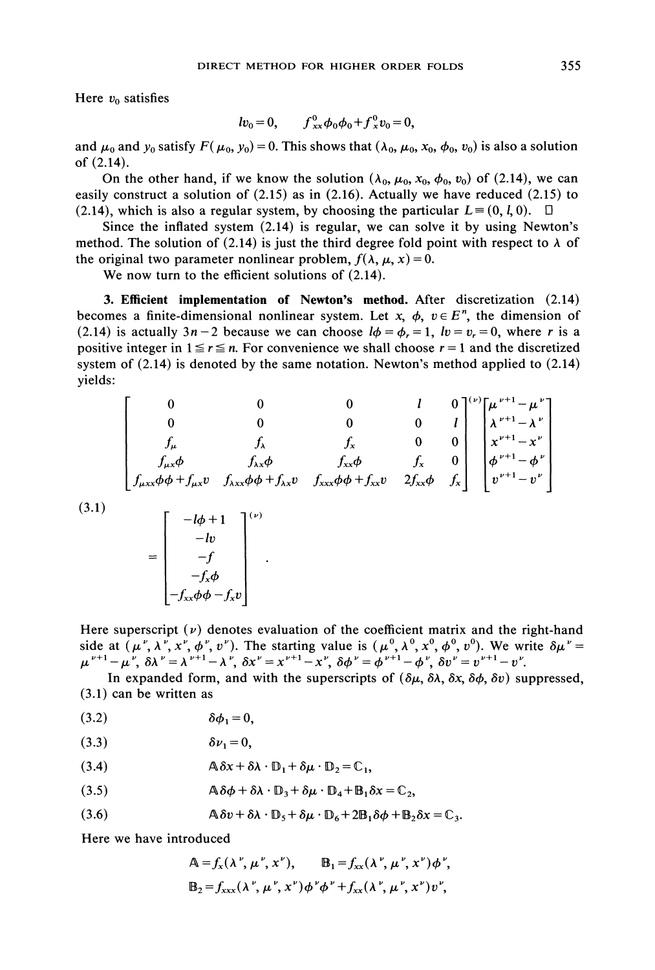Here  $v_0$  satisfies

$$
lv_0 = 0
$$
,  $f_{xx}^0 \phi_0 \phi_0 + f_x^0 v_0 = 0$ ,

and  $\mu_0$  and  $y_0$  satisfy  $F(\mu_0, y_0) = 0$ . This shows that  $(\lambda_0, \mu_0, x_0, \phi_0, v_0)$  is also a solution of (2.14).

On the other hand, if we know the solution  $(\lambda_0, \mu_0, x_0, \phi_0, v_0)$  of (2.14), we can easily construct a solution of (2.15) as in (2.16). Actually we have reduced (2.15) to (2.14), which is also a regular system, by choosing the particular  $L = (0, l, 0)$ .  $\Box$ 

Since the inflated system (2.14) is regular, we can solve it by using Newton's method. The solution of (2.14) is just the third degree fold point with respect to  $\lambda$  of the original two parameter nonlinear problem,  $f(\lambda, \mu, x) = 0$ .

We now turn to the efficient solutions of  $(2.14)$ .

3. Efficient implementation of Newton's method. After discretization (2.14) becomes a finite-dimensional nonlinear system. Let x,  $\phi$ ,  $v \in E^n$ , the dimension of (2.14) is actually  $3n-2$  because we can choose  $l\phi = \phi_r = 1$ ,  $lv = v_r = 0$ , where r is a positive integer in  $1 \le r \le n$ . For convenience we shall choose  $r = 1$  and the discretized system of (2.14) is denoted by the same notation. Newton's method applied to (2.14) yields:

$$
\begin{bmatrix}\n0 & 0 & 0 & l & 0 \\
0 & 0 & 0 & 0 & l \\
f_{\mu} & f_{\lambda} & f_{x} & 0 & 0 \\
f_{\mu x}\phi + f_{\mu x}v & f_{\lambda x}\phi + f_{\lambda x}v & f_{\lambda x}\phi + f_{\lambda x}v & 2f_{\lambda x}\phi & f_{x}\n\end{bmatrix}\n\begin{bmatrix}\n\mu^{v+1} - \mu^{v} \\
\mu^{v+1} - \lambda^{v} \\
\mu^{v+1} - \lambda^{v} \\
\phi^{v+1} - \phi^{v} \\
v^{v+1} - v^{v}\n\end{bmatrix}
$$

(3.1)

$$
= \begin{bmatrix} -l\phi + 1 \\ -lv \\ -f \\ -f_x\phi \\ -f_x\phi - f_x v \end{bmatrix}^{(\nu)}
$$

Here superscript  $(v)$  denotes evaluation of the coefficient matrix and the right-hand side at  $(\mu^{\nu},$  $\mu^{\nu+1} - \mu^{\nu}, \ \delta \lambda^{\nu} = \lambda^{\nu+1} - \lambda^{\nu}, \ \delta x^{\nu} = x^{\nu+1} - x^{\nu}, \ \delta \phi^{\nu} = \phi^{\nu+1} - \phi^{\nu}, \ \delta v^{\nu} = v^{\nu+1} - v^{\nu}.$ 

In expanded form, and with the superscripts of  $(\delta \mu, \delta \lambda, \delta x, \delta \phi, \delta v)$  suppressed, (3.1) can be written as

(3.2) ab =0,

$$
(3.3) \t\t\t \delta\nu_1=0,
$$

(3.4) 
$$
\mathbb{A}\delta x + \delta \lambda \cdot \mathbb{D}_1 + \delta \mu \cdot \mathbb{D}_2 = \mathbb{C}_1,
$$

$$
(3.5) \qquad \mathbb{A}\,\delta\phi + \delta\lambda \cdot \mathbb{D}_3 + \delta\mu \cdot \mathbb{D}_4 + \mathbb{B}_1 \delta x = \mathbb{C}_2,
$$

(3.6) 
$$
\mathbb{A}\delta v + \delta\lambda \cdot \mathbb{D}_5 + \delta\mu \cdot \mathbb{D}_6 + 2\mathbb{B}_1\delta\phi + \mathbb{B}_2\delta x = \mathbb{C}_3.
$$

Here we have introduced

$$
\mathsf{A} = f_x(\lambda^\nu, \mu^\nu, x^\nu), \qquad \mathsf{B}_1 = f_{xx}(\lambda^\nu, \mu^\nu, x^\nu) \phi^\nu,
$$
  

$$
\mathsf{B}_2 = f_{xxx}(\lambda^\nu, \mu^\nu, x^\nu) \phi^\nu \phi^\nu + f_{xx}(\lambda^\nu, \mu^\nu, x^\nu) v^\nu,
$$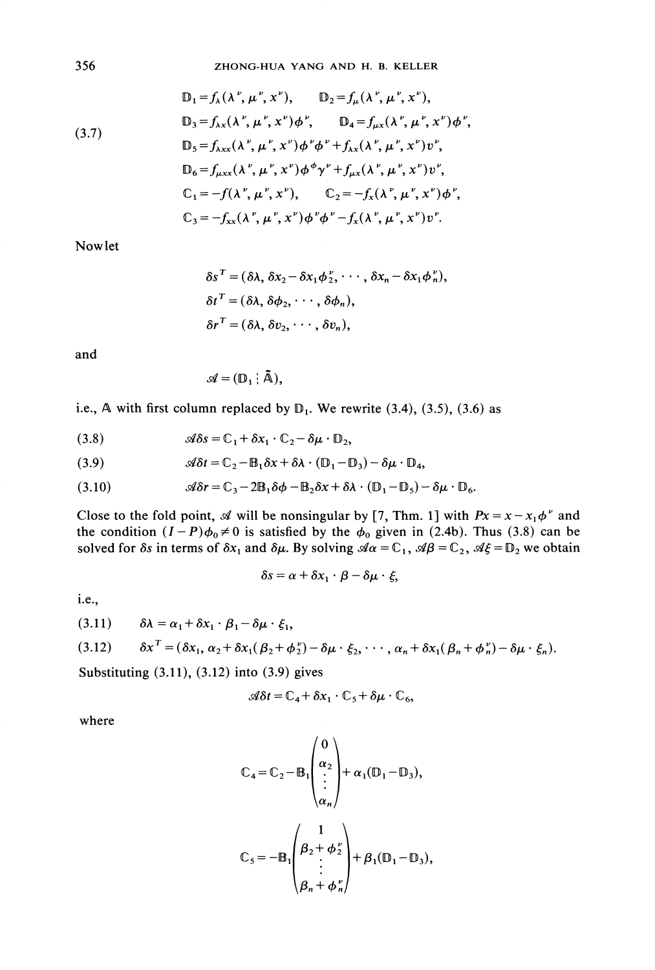(3.7)  
\n
$$
\mathbb{D}_{1} = f_{\lambda}(\lambda^{\nu}, \mu^{\nu}, x^{\nu}), \qquad \mathbb{D}_{2} = f_{\mu}(\lambda^{\nu}, \mu^{\nu}, x^{\nu}),
$$
\n
$$
\mathbb{D}_{3} = f_{\lambda x}(\lambda^{\nu}, \mu^{\nu}, x^{\nu})\phi^{\nu}, \qquad \mathbb{D}_{4} = f_{\mu x}(\lambda^{\nu}, \mu^{\nu}, x^{\nu})\phi^{\nu},
$$
\n
$$
\mathbb{D}_{5} = f_{\lambda xx}(\lambda^{\nu}, \mu^{\nu}, x^{\nu})\phi^{\nu}\phi^{\nu} + f_{\lambda x}(\lambda^{\nu}, \mu^{\nu}, x^{\nu})v^{\nu},
$$
\n
$$
\mathbb{D}_{6} = f_{\mu xx}(\lambda^{\nu}, \mu^{\nu}, x^{\nu})\phi^{\phi}\gamma^{\nu} + f_{\mu x}(\lambda^{\nu}, \mu^{\nu}, x^{\nu})v^{\nu},
$$
\n
$$
\mathbb{C}_{1} = -f(\lambda^{\nu}, \mu^{\nu}, x^{\nu}), \qquad \mathbb{C}_{2} = -f_{x}(\lambda^{\nu}, \mu^{\nu}, x^{\nu})\phi^{\nu},
$$
\n
$$
\mathbb{C}_{3} = -f_{xx}(\lambda^{\nu}, \mu^{\nu}, x^{\nu})\phi^{\nu}\phi^{\nu} - f_{x}(\lambda^{\nu}, \mu^{\nu}, x^{\nu})v^{\nu}.
$$

Nowlet

$$
\delta s^T = (\delta \lambda, \, \delta x_2 - \delta x_1 \phi_2^{\nu}, \, \cdots, \, \delta x_n - \delta x_1 \phi_n^{\nu}),
$$
  
\n
$$
\delta t^T = (\delta \lambda, \, \delta \phi_2, \, \cdots, \, \delta \phi_n),
$$
  
\n
$$
\delta r^T = (\delta \lambda, \, \delta v_2, \, \cdots, \, \delta v_n),
$$

and

$$
\mathscr{A}=(\mathbb{D}_1\mid\tilde{\mathbb{A}}),
$$

i.e., A with first column replaced by  $D_1$ . We rewrite (3.4), (3.5), (3.6) as

(3.8) 
$$
\mathscr{A}\delta s = \mathbb{C}_1 + \delta x_1 \cdot \mathbb{C}_2 - \delta \mu \cdot \mathbb{D}_2,
$$

(3.9) 
$$
\mathscr{A}\delta t = \mathbb{C}_2 - \mathbb{B}_1 \delta x + \delta \lambda \cdot (\mathbb{D}_1 - \mathbb{D}_3) - \delta \mu \cdot \mathbb{D}_4,
$$

(3.10) 
$$
\mathscr{A}\delta r = \mathbb{C}_3 - 2\mathbb{B}_1\delta\phi - \mathbb{B}_2\delta x + \delta\lambda \cdot (\mathbb{D}_1 - \mathbb{D}_5) - \delta\mu \cdot \mathbb{D}_6.
$$

Close to the fold point, A will be nonsingular by [7, Thm. 1] with  $Px = x - x_1\phi^{\nu}$  and the condition  $(I-P)\phi_0\neq 0$  is satisfied by the  $\phi_0$  given in (2.4b). Thus (3.8) can be solved for  $\delta s$  in terms of  $\delta x_1$  and  $\delta \mu$ . By solving  $\mathcal{A}\alpha = \mathbb{C}_1$ ,  $\mathcal{A}\beta = \mathbb{C}_2$ ,  $\mathcal{A}\xi = \mathbb{D}_2$  we obtain

$$
\delta s = \alpha + \delta x_1 \cdot \beta - \delta \mu \cdot \xi,
$$

i.e.,

$$
(3.11) \qquad \delta\lambda = \alpha_1 + \delta x_1 \cdot \beta_1 - \delta \mu \cdot \xi_1,
$$

(3.12) 
$$
\delta x^T = (\delta x_1, \alpha_2 + \delta x_1 (\beta_2 + \phi_2^{\nu}) - \delta \mu \cdot \xi_2, \cdots, \alpha_n + \delta x_1 (\beta_n + \phi_n^{\nu}) - \delta \mu \cdot \xi_n).
$$

Substituting (3.11), (3.12) into (3.9) gives

$$
\mathcal{A}\delta t = \mathbb{C}_4 + \delta x_1 \cdot \mathbb{C}_5 + \delta \mu \cdot \mathbb{C}_6,
$$

where

$$
C_4 = C_2 - B_1 \begin{pmatrix} 0 \\ \alpha_2 \\ \vdots \\ \alpha_n \end{pmatrix} + \alpha_1 (D_1 - D_3),
$$
  

$$
C_5 = -B_1 \begin{pmatrix} 1 \\ \beta_2 + \phi_2^{\nu} \\ \vdots \\ \beta_n + \phi_n^{\nu} \end{pmatrix} + \beta_1 (D_1 - D_3),
$$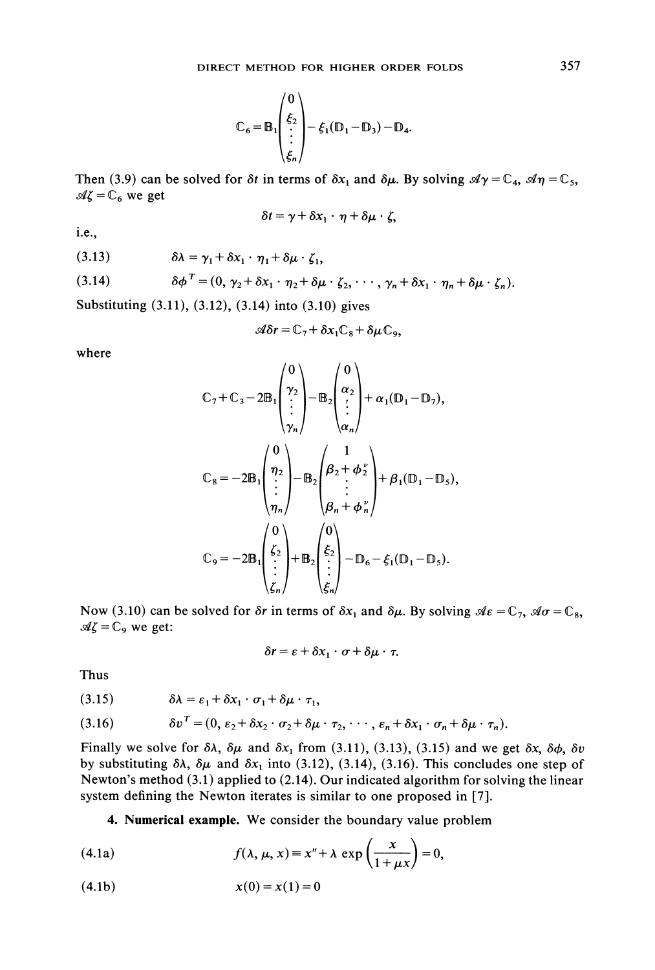$$
\mathbb{C}_6 = \mathbb{B}_1 \begin{pmatrix} 0 \\ \xi_2 \\ \vdots \\ \xi_n \end{pmatrix} - \xi_1 (\mathbb{D}_1 - \mathbb{D}_3) - \mathbb{D}_4.
$$

Then (3.9) can be solved for  $\delta t$  in terms of  $\delta x_1$  and  $\delta \mu$ . By solving  $\mathcal{A}\gamma = \mathbb{C}_4$ ,  $\mathcal{A}\eta = \mathbb{C}_5$ ,  $\mathcal{A}\zeta = \mathbb{C}_6$  we get

$$
\delta t = \gamma + \delta x_1 \cdot \eta + \delta \mu \cdot \zeta,
$$

i.e.,

(3.13) 
$$
\delta \lambda = \gamma_1 + \delta x_1 \cdot \eta_1 + \delta \mu \cdot \zeta_1,
$$

(3.14) 
$$
\delta \phi^T = (0, \gamma_2 + \delta x_1 \cdot \eta_2 + \delta \mu \cdot \zeta_2, \cdots, \gamma_n + \delta x_1 \cdot \eta_n + \delta \mu \cdot \zeta_n).
$$
Substituting (3.11), (3.12), (3.14) into (3.10) gives

$$
\mathcal{A}\delta r = \mathbb{C}_7 + \delta x_1 \mathbb{C}_8 + \delta \mu \mathbb{C}_9,
$$

where

$$
\mathbb{C}_{7} + \mathbb{C}_{3} - 2\mathbb{B}_{1} \begin{pmatrix} 0 \\ \gamma_{2} \\ \vdots \\ \gamma_{n} \end{pmatrix} - \mathbb{B}_{2} \begin{pmatrix} 0 \\ \alpha_{2} \\ \vdots \\ \alpha_{n} \end{pmatrix} + \alpha_{1}(\mathbb{D}_{1} - \mathbb{D}_{7}),
$$
  

$$
\mathbb{C}_{8} = -2\mathbb{B}_{1} \begin{pmatrix} 0 \\ \eta_{2} \\ \vdots \\ \eta_{n} \end{pmatrix} - \mathbb{B}_{2} \begin{pmatrix} 1 \\ \beta_{2} + \phi_{2} \\ \vdots \\ \beta_{n} + \phi_{n} \end{pmatrix} + \beta_{1}(\mathbb{D}_{1} - \mathbb{D}_{5}),
$$
  

$$
\mathbb{C}_{9} = -2\mathbb{B}_{1} \begin{pmatrix} 0 \\ \zeta_{2} \\ \vdots \\ \zeta_{n} \end{pmatrix} + \mathbb{B}_{2} \begin{pmatrix} 0 \\ \xi_{2} \\ \vdots \\ \zeta_{n} \end{pmatrix} - \mathbb{D}_{6} - \xi_{1}(\mathbb{D}_{1} - \mathbb{D}_{5}).
$$

Now (3.10) can be solved for  $\delta r$  in terms of  $\delta x_1$  and  $\delta \mu$ . By solving  $\mathcal{A} \epsilon = \mathbb{C}_7$ ,  $\mathcal{A} \sigma = \mathbb{C}_8$ ,  $\mathcal{A}\zeta = \mathbb{C}_9$  we get:

$$
\delta r = \varepsilon + \delta x_1 \cdot \sigma + \delta \mu \cdot \tau.
$$

Thus

(3.15) 
$$
\delta \lambda = \varepsilon_1 + \delta x_1 \cdot \sigma_1 + \delta \mu \cdot \tau_1,
$$

(3.16) 
$$
\delta v^T = (0, \varepsilon_2 + \delta x_2 \cdot \sigma_2 + \delta \mu \cdot \tau_2, \cdots, \varepsilon_n + \delta x_1 \cdot \sigma_n + \delta \mu \cdot \tau_n).
$$

(3.16)  $\delta v' = (0, \varepsilon_2 + \delta x_2 \cdot \sigma_2 + \delta \mu \cdot \tau_2, \dots, \varepsilon_n + \delta x_1 \cdot \sigma_n + \delta \mu \cdot \tau_n)$ .<br>Finally we solve for  $\delta \lambda$ ,  $\delta \mu$  and  $\delta x_1$  from (3.11), (3.13), (3.15) and we get  $\delta x$ ,  $\delta \phi$ ,  $\delta v$ by substituting  $\delta\lambda$ ,  $\delta\mu$  and  $\delta x_1$  into (3.12), (3.14), (3.16). This concludes one step of Newton's method (3.1) applied to (2.14). Our indicated algorithm for solving the linear system defining the Newton iterates is similar to one proposed in [7].

4. Numerical example. We consider the boundary value problem

(4.1a) 
$$
f(\lambda, \mu, x) \equiv x'' + \lambda \exp\left(\frac{x}{1 + \mu x}\right) = 0,
$$

$$
(4.1b) \t\t x(0) = x(1) = 0
$$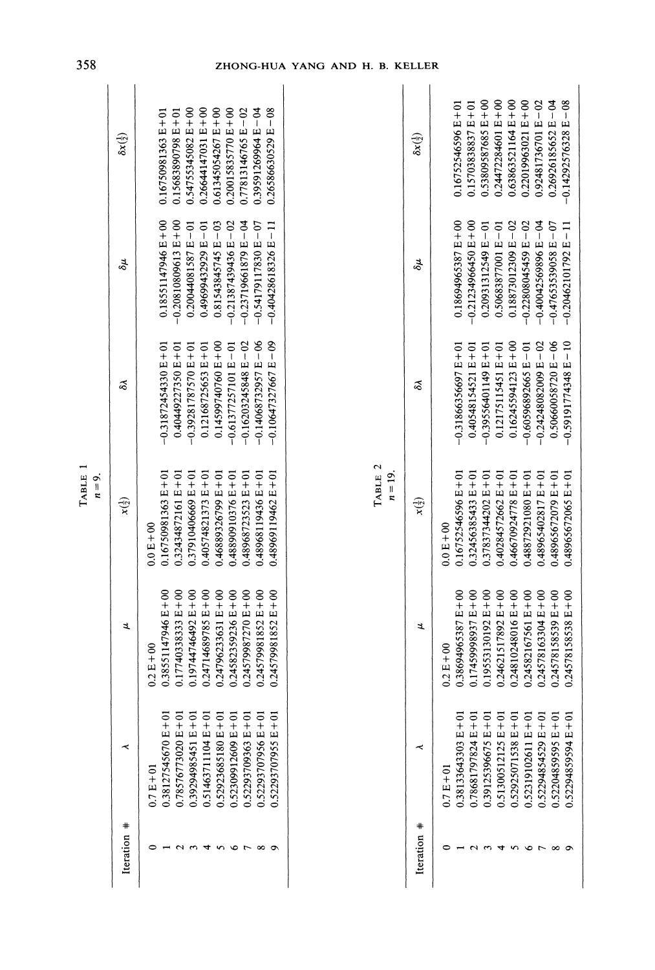|                  | $\delta x(\frac{1}{2})$    | $0.54755345082 E + 00$<br>$0.26644147031 E + 00$<br>0.61345054267 E+00<br>$0.20015835770 E + 00$<br>$0.77813146765 E - 02$<br>$0.39591269964 E - 04$<br>0.26586630529 E-08<br>0.16750981363 E+01<br>$0.15683890798 E + 01$                    | $\delta x(\frac{1}{2})$             | 0.53809587685 E+00<br>$0.24472284601 E + 00$<br>$0.63863521164 E+00$<br>$0.22019963021 E+00$<br>0.92481736701 E-02<br>$0.26926185652 E - 04$<br>$-0.14292576328 E - 08$<br>$0.15703838837E+01$<br>$0.16752546596E+01$                     |
|------------------|----------------------------|-----------------------------------------------------------------------------------------------------------------------------------------------------------------------------------------------------------------------------------------------|-------------------------------------|-------------------------------------------------------------------------------------------------------------------------------------------------------------------------------------------------------------------------------------------|
|                  | δH                         | $-0.20810809613 E + 00$<br>$0.18551147946E+00$<br>$-0.21387439436 E - 02$<br>$-0.23719661879 E - 04$<br>$-0.54179117830 E - 07$<br>$0.81543845745 E - 03$<br>$-0.40428618326E - 11$<br>$0.20044081587E - 01$<br>0.49699432929 E-01            | δt                                  | $-0.21234966450 E + 00$<br>$0.18694965387 E + 00$<br>$0.18873012309 E - 02$<br>$-0.22808045459 E - 02$<br>$-0.40042569896 E - 04$<br>$-0.47653539058 E - 07$<br>$0.20931312549 E - 01$<br>$0.50683877001 E - 01$<br>$-0.20462101792E-11$  |
|                  | వ                          | $-0.14068732957 E - 06$<br>$-0.10647327667 E - 09$<br>$-0.16203245848 E - 02$<br>$0.14599740760 E + 00$<br>$-0.31872454330E + 01$<br>$0.40449227350 E + 01$<br>$0.12168725653 E + 01$<br>$-0.61377257101 E - 01$<br>$-0.39281787570 E + 01$   | శ                                   | $0.50660058720 E - 06$<br>$0.16245594123E+00$<br>$-0.24248082009 E - 02$<br>$-0.59191774348 E - 10$<br>$0.12175115451E+01$<br>$-0.60596892665 E - 01$<br>$-0.31866356697 E + 01$<br>$0.40548154521E+01$<br>$-0.39556401149 E + 01$        |
| TABLE<br>$n=9$ . | $x(\frac{1}{2})$           | TABLE 2<br>$0.16750981363E+01$<br>$0.32434872161E+01$<br>0.37910406669 E+01<br>0.40574821373 E+01<br>0.46889326799 E+01<br>0.48890910376 E+01<br>0.48968723523 E+01<br>0.48968119436 E+01<br>0.48969119462 E+01<br>$0.0 E + 00$               | $n=19$<br>$\mathbf{x}(\frac{1}{2})$ | $0.16752546596E+01$<br>$0.32456385433 E + 01$<br>$0.37837344202E + 01$<br>$0.40284572662 E + 01$<br>$0.46670924778 E + 01$<br>0.48872921080 E+01<br>0.48965402817 E+01<br>$0.48965672079 E + 01$<br>$0.48965672065 E + 0$<br>$0.0 E + 00$ |
|                  | ュ                          | $0.17740338333E+00$<br>$0.38551147946E+00$<br>$0.19744746492 E + 00$<br>$0.24714689785 E + 00$<br>$0.24796233631 E + 00$<br>$0.24582359236E+00$<br>$0.24579987270 E + 00$<br>$0.24579981852 E + 00$<br>$0.24579981852 E + 00$<br>$0.2 E + 00$ | ュ                                   | 0.17459998937 E+00<br>$0.19553130192E+00$<br>$0.24578163304E+00$<br>$0.38694965387 E + 00$<br>$0.24621517892E+00$<br>$0.24810248016E+00$<br>$0.24582167561E+00$<br>$0.24578158539E+00$<br>$0.24578158538 E + 00$<br>$0.2 E + 00$          |
|                  | ≺                          | 0.52923685180 E+01<br>$0.52309912609 E + 01$<br>$0.52293707956 E + 01$<br>$0.52293707955E+01$<br>$0.38127545670E+0$<br>$0.39294985451 E + 01$<br>$0.51463711104E+01$<br>$0.52293709363 E + 01$<br>$0.78576773020E + 0$<br>$0.7 E + 01$        | ≺                                   | $0.78681797824E+01$<br>0.38133643303 E+01<br>$0.39125396675 E + 01$<br>$0.51300512125 E+01$<br>0.52925071538 E+01<br>$0.52319102611E+01$<br>$0.52294854529 E + 01$<br>$0.52204859595E+01$<br>$0.52294859594E+01$<br>$0.7 E + 01$          |
|                  | $^\mathrm{+}$<br>Iteration | $\sim$ $\sim$<br>4<br><b>567</b><br>$\infty$<br>$\circ$                                                                                                                                                                                       | $\ast$<br>Iteration                 | 22345678                                                                                                                                                                                                                                  |

## 358 ZHONG-HUA YANG AND H. B. KELLER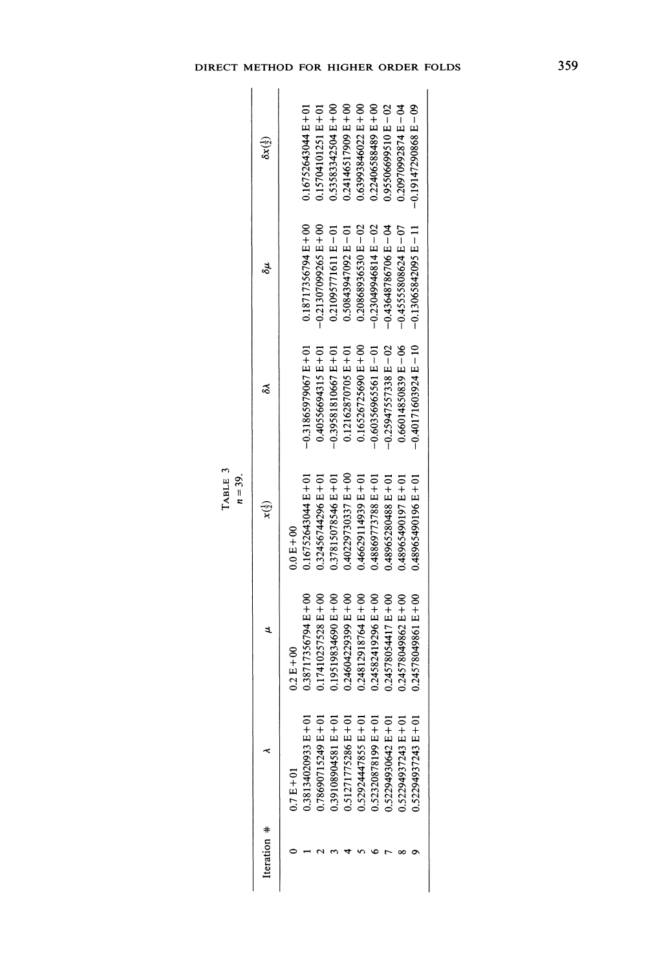|  | DIRECT METHOD FOR HIGHER ORDER FOLDS |  |  |
|--|--------------------------------------|--|--|
|  | 772222112                            |  |  |

| Э<br>1<br>يم | ı<br>₩ |
|--------------|--------|

| Iteration # |                        |                        | $x(\frac{1}{2})$       |                         | δu                      | $\delta x(\frac{1}{2})$ |
|-------------|------------------------|------------------------|------------------------|-------------------------|-------------------------|-------------------------|
|             | $0.7 E + 01$           | $0.2 \text{ E} + 00$   | $0.0 E + 00$           |                         |                         |                         |
|             | 10 + 3 134020933 E+0   | $0.38717356794 E + 00$ | $0.16752643044 E + 01$ | $-0.31865979067 E + 01$ | $0.18717356794 E + 00$  | $0.16752643044 E + 01$  |
|             | 0.78690715249 E+01     | $0.17410257528 E + 00$ | $0.32456744296E + 01$  | $0.40556694315 E + 01$  | $-0.21307099265 E + 00$ | $0.15704101251E+01$     |
|             | 10+3 182904581 E+01    | $0.19519834690 E + 00$ | 0.37815078546 E+01     | $-0.39581810667E+01$    | $0.21095771611E - 01$   | 0.53583342504 E+00      |
|             | 0.51271775286 E+01     | $0.24604229399 E + 00$ | $0.40229730337 E + 00$ | $0.12162870705E+01$     | $0.50843947092 E - 01$  | $0.24146517909 E + 00$  |
|             | $0.5292447855E + 01$   | $0.24812918764E + 00$  | $0.46629114939E+01$    | $0.16526725690E + 00$   | $0.20868936530 E - 02$  | $0.63993846022 E + 00$  |
|             | 0.52320878199 E+01     | $0.24582419296 E + 00$ | $0.48869773788 E + 01$ | $-0.60356965561 E - 01$ | $-0.23049946814 E - 02$ | $0.22406588489 E + 00$  |
|             | 0.52294930642 E+01     | $0.24578054417 E + 00$ | $0.48965280488 E + 01$ | $-0.25947557338 E - 02$ | $-0.43648786706 E - 04$ | 0.95506699510 E-02      |
|             | $0.52294937243 E + 01$ | 0.24578049862 E+00     | 0.48965490197 E+01     | $0.66014850839 E - 06$  | $-0.45555808624 E - 07$ | $0.20970992874 E - 04$  |
|             | $0.52294937243 E + 01$ | 0.24578049861 E+00     | $0.48965490196 E + 01$ | $-0.40171603924E - 10$  | $-0.13065842095E - 11$  | $-0.19147290868E - 09$  |
|             |                        |                        |                        |                         |                         |                         |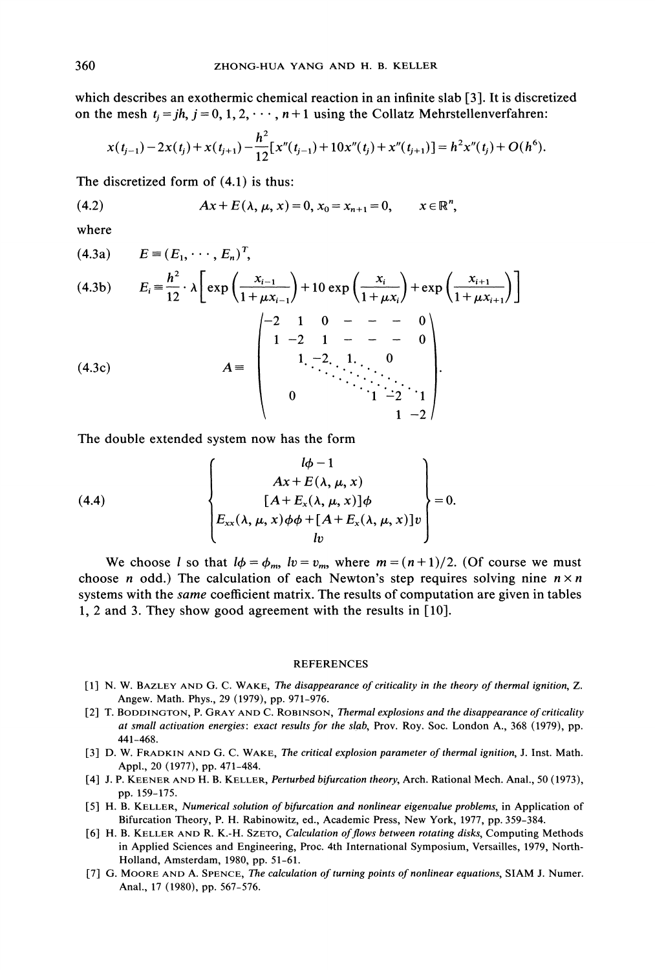which describes an exothermic chemical reaction in an infinite slab [3]. It is discretized on the mesh  $t_i = jh$ ,  $j = 0, 1, 2, \dots, n + 1$  using the Collatz Mehrstellenverfahren:

$$
x(t_{j-1})-2x(t_j)+x(t_{j+1})-\frac{h^2}{12}[x''(t_{j-1})+10x''(t_j)+x''(t_{j+1})]=h^2x''(t_j)+O(h^6).
$$

The discretized form of  $(4.1)$  is thus:

(4.2) 
$$
Ax + E(\lambda, \mu, x) = 0, x_0 = x_{n+1} = 0, \qquad x \in \mathbb{R}^n,
$$

where

(4.3a) 
$$
E = (E_1, \dots, E_n)^T,
$$
  
\n(4.3b) 
$$
E_i = \frac{h^2}{12} \cdot \lambda \left[ exp\left(\frac{x_{i-1}}{1 + \mu x_{i-1}}\right) + 10 exp\left(\frac{x_i}{1 + \mu x_i}\right) + exp\left(\frac{x_{i+1}}{1 + \mu x_{i+1}}\right) \right]
$$
  
\n(4.3c) 
$$
A = \begin{pmatrix} -2 & 1 & 0 & - & - & 0 \\ 1 & -2 & 1 & - & - & 0 \\ & & 1 & -2 & 1 & 0 \\ & & & \ddots & \ddots & \ddots & \ddots & \vdots \\ & & & & 1 & -2 \end{pmatrix}.
$$

The double extended system now has the form

(4.4)  

$$
\begin{cases}\n\begin{aligned}\n& l\phi - 1 \\
& Ax + E(\lambda, \mu, x) \\
& [A + E_x(\lambda, \mu, x)]\phi \\
& E_{xx}(\lambda, \mu, x)\phi\phi + [A + E_x(\lambda, \mu, x)]v\n\end{aligned}\n\end{cases} = 0.
$$

We choose l so that  $l\phi = \phi_m$ ,  $lv = v_m$ , where  $m = (n + 1)/2$ . (Of course we must choose *n* odd.) The calculation of each Newton's step requires solving nine  $n \times n$ systems with the *same* coefficient matrix. The results of computation are given in tables 1, 2 and 3. They show good agreement with the results in [10].

## REFERENCES

- 1] N. W. BAZLEY AND G. C. WAKE, The disappearance of criticality in the theory of thermal ignition, Z. Angew. Math. Phys., 29 (1979), pp. 971-976.
- [2] T. BODDINGTON, P. GRAY AND C. ROBINSON, Thermal explosions and the disappearance of criticality at small activation energies: exact results for the slab, Prov. Roy. Soc. London A., 368 (1979), pp. 441-468.
- [3] D. W. FRADKIN AND G. C. WAKE, The critical explosion parameter of thermal ignition, J. Inst. Math. Appl., 20 (1977), pp. 471-484.
- [4] J. P. KEENER AND H. B. KELLER, Perturbed bifurcation theory, Arch. Rational Mech. Anal., <sup>50</sup> (1973), pp. 159-175.
- [5] H. B. KELLER, Numerical solution of bifurcation and nonlinear eigenvalue problems, in Application of Bifurcation Theory, P. H. Rabinowitz, ed., Academic Press, New York, 1977, pp. 359-384.
- [6] H. B. KELLER AND R. K.-H. SZETO, Calculation of flows between rotating disks, Computing Methods in Applied Sciences and Engineering, Proc. 4th International Symposium, Versailles, 1979, North-Holland, Amsterdam, 1980, pp. 51-61.
- [7] G. MOORE AND A. SPENCE, The calculation of turning points of nonlinear equations, SIAM J. Numer. Anal., 17 (1980), pp. 567-576.